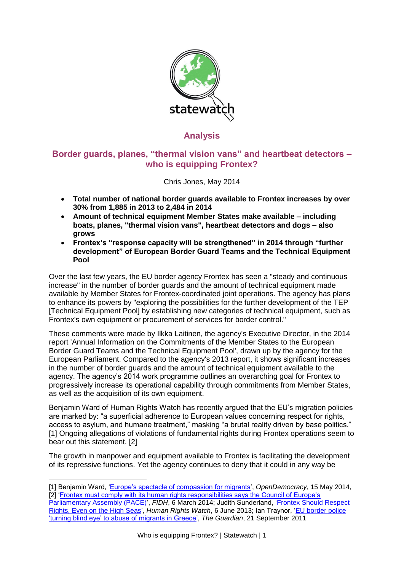

# **Analysis**

# **Border guards, planes, "thermal vision vans" and heartbeat detectors – who is equipping Frontex?**

Chris Jones, May 2014

- **Total number of national border guards available to Frontex increases by over 30% from 1,885 in 2013 to 2,484 in 2014**
- **Amount of technical equipment Member States make available – including boats, planes, "thermal vision vans", heartbeat detectors and dogs – also grows**
- **Frontex's "response capacity will be strengthened" in 2014 through "further development" of European Border Guard Teams and the Technical Equipment Pool**

Over the last few years, the EU border agency Frontex has seen a "steady and continuous increase" in the number of border guards and the amount of technical equipment made available by Member States for Frontex-coordinated joint operations. The agency has plans to enhance its powers by "exploring the possibilities for the further development of the TEP [Technical Equipment Pool] by establishing new categories of technical equipment, such as Frontex's own equipment or procurement of services for border control."

These comments were made by Ilkka Laitinen, the agency's Executive Director, in the 2014 report 'Annual Information on the Commitments of the Member States to the European Border Guard Teams and the Technical Equipment Pool', drawn up by the agency for the European Parliament. Compared to the agency's 2013 report, it shows significant increases in the number of border guards and the amount of technical equipment available to the agency. The agency's 2014 work programme outlines an overarching goal for Frontex to progressively increase its operational capability through commitments from Member States, as well as the acquisition of its own equipment.

Benjamin Ward of Human Rights Watch has recently argued that the EU's migration policies are marked by: "a superficial adherence to European values concerning respect for rights, access to asylum, and humane treatment," masking "a brutal reality driven by base politics." [1] Ongoing allegations of violations of fundamental rights during Frontex operations seem to bear out this statement. [2]

The growth in manpower and equipment available to Frontex is facilitating the development of its repressive functions. Yet the agency continues to deny that it could in any way be

- -[1] Benjamin Ward, ['Europe's spectacle of compassion for migrants',](http://www.opendemocracy.net/can-europe-make-it/benjamin-ward/europe%E2%80%99s-spectacle-of-compassion-for-migrants) *OpenDemocracy*, 15 May 2014, [2] 'Frontex must comply with its human rights responsibilities says the Council of Europe's
- [Parliamentary Assembly \(PACE\)',](http://www.fidh.org/en/migrants-rights/frontex-must-comply-with-its-human-rights-responsibilities-says-the-13216) *FIDH*, 6 March 2014; Judith Sunderland, ['Frontex Should Respect](http://www.hrw.org/news/2013/06/06/frontex-should-respect-rights-even-high-seas)  [Rights, Even on the High Seas'](http://www.hrw.org/news/2013/06/06/frontex-should-respect-rights-even-high-seas), *Human Rights Watch*, 6 June 2013; Ian Traynor, ['EU border police](http://www.theguardian.com/world/2011/sep/21/eu-border-police-bline-eye-migrant-abuse)  ['turning blind eye' to abuse of migrants in Greece',](http://www.theguardian.com/world/2011/sep/21/eu-border-police-bline-eye-migrant-abuse) *The Guardian*, 21 September 2011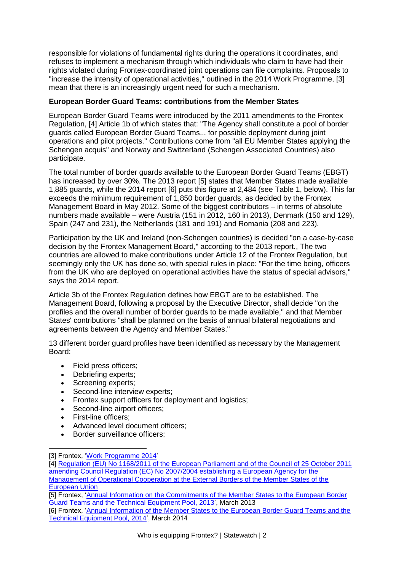responsible for violations of fundamental rights during the operations it coordinates, and refuses to implement a mechanism through which individuals who claim to have had their rights violated during Frontex-coordinated joint operations can file complaints. Proposals to "increase the intensity of operational activities," outlined in the 2014 Work Programme, [3] mean that there is an increasingly urgent need for such a mechanism.

### **European Border Guard Teams: contributions from the Member States**

European Border Guard Teams were introduced by the 2011 amendments to the Frontex Regulation, [4] Article 1b of which states that: "The Agency shall constitute a pool of border guards called European Border Guard Teams... for possible deployment during joint operations and pilot projects." Contributions come from "all EU Member States applying the Schengen acquis" and Norway and Switzerland (Schengen Associated Countries) also participate.

The total number of border guards available to the European Border Guard Teams (EBGT) has increased by over 30%. The 2013 report [5] states that Member States made available 1,885 guards, while the 2014 report [6] puts this figure at 2,484 (see Table 1, below). This far exceeds the minimum requirement of 1,850 border guards, as decided by the Frontex Management Board in May 2012. Some of the biggest contributors – in terms of absolute numbers made available – were Austria (151 in 2012, 160 in 2013), Denmark (150 and 129), Spain (247 and 231), the Netherlands (181 and 191) and Romania (208 and 223).

Participation by the UK and Ireland (non-Schengen countries) is decided "on a case-by-case decision by the Frontex Management Board," according to the 2013 report., The two countries are allowed to make contributions under Article 12 of the Frontex Regulation, but seemingly only the UK has done so, with special rules in place: "For the time being, officers from the UK who are deployed on operational activities have the status of special advisors," says the 2014 report.

Article 3b of the Frontex Regulation defines how EBGT are to be established. The Management Board, following a proposal by the Executive Director, shall decide "on the profiles and the overall number of border guards to be made available," and that Member States' contributions "shall be planned on the basis of annual bilateral negotiations and agreements between the Agency and Member States."

13 different border guard profiles have been identified as necessary by the Management Board:

- Field press officers:
- Debriefing experts;
- Screening experts;
- Second-line interview experts;
- Frontex support officers for deployment and logistics;
- Second-line airport officers;
- First-line officers;

-

- Advanced level document officers;
- Border surveillance officers:

<sup>[3]</sup> Frontex, ['Work Programme 2014'](http://www.statewatch.org/news/2014/mar/eu-frontex-wp-2014.pdf)

<sup>[4]</sup> [Regulation \(EU\) No 1168/2011 of the European Parliament and of the Council of 25 October 2011](http://www.statewatch.org/news/2011/nov/eu-oj-frontex-regulation.pdf)  [amending Council Regulation \(EC\) No 2007/2004 establishing a European Agency for the](http://www.statewatch.org/news/2011/nov/eu-oj-frontex-regulation.pdf)  [Management of Operational Cooperation at the External Borders of the Member States of the](http://www.statewatch.org/news/2011/nov/eu-oj-frontex-regulation.pdf)  [European Union](http://www.statewatch.org/news/2011/nov/eu-oj-frontex-regulation.pdf)

<sup>[5]</sup> Frontex, ['Annual Information on the Commitments of the Member States to the European Border](http://www.statewatch.org/observatories_files/frontex_observatory/eu-frontex-tep-2013.pdf)  [Guard Teams and the Technical Equipment Pool, 2013'](http://www.statewatch.org/observatories_files/frontex_observatory/eu-frontex-tep-2013.pdf), March 2013

<sup>[6]</sup> Frontex, ['Annual Information of the Member States to the European Border Guard Teams and the](http://www.statewatch.org/news/2014/mar/eu-frontex-rep-ep-msd.pdf)  [Technical Equipment Pool, 2014'](http://www.statewatch.org/news/2014/mar/eu-frontex-rep-ep-msd.pdf), March 2014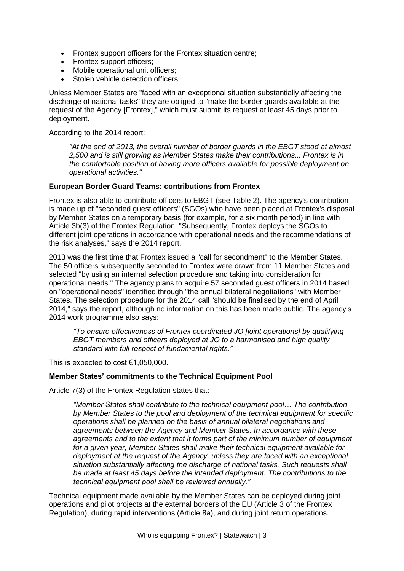- Frontex support officers for the Frontex situation centre;
- Frontex support officers;
- Mobile operational unit officers;
- **Stolen vehicle detection officers**

Unless Member States are "faced with an exceptional situation substantially affecting the discharge of national tasks" they are obliged to "make the border guards available at the request of the Agency [Frontex]," which must submit its request at least 45 days prior to deployment.

According to the 2014 report:

*"At the end of 2013, the overall number of border guards in the EBGT stood at almost 2,500 and is still growing as Member States make their contributions... Frontex is in the comfortable position of having more officers available for possible deployment on operational activities."*

### **European Border Guard Teams: contributions from Frontex**

Frontex is also able to contribute officers to EBGT (see Table 2). The agency's contribution is made up of "seconded guest officers" (SGOs) who have been placed at Frontex's disposal by Member States on a temporary basis (for example, for a six month period) in line with Article 3b(3) of the Frontex Regulation. "Subsequently, Frontex deploys the SGOs to different joint operations in accordance with operational needs and the recommendations of the risk analyses," says the 2014 report.

2013 was the first time that Frontex issued a "call for secondment" to the Member States. The 50 officers subsequently seconded to Frontex were drawn from 11 Member States and selected "by using an internal selection procedure and taking into consideration for operational needs." The agency plans to acquire 57 seconded guest officers in 2014 based on "operational needs" identified through "the annual bilateral negotiations" with Member States. The selection procedure for the 2014 call "should be finalised by the end of April 2014," says the report, although no information on this has been made public. The agency's 2014 work programme also says:

*"To ensure effectiveness of Frontex coordinated JO [joint operations] by qualifying EBGT members and officers deployed at JO to a harmonised and high quality standard with full respect of fundamental rights."*

This is expected to cost  $€1,050,000$ .

#### **Member States' commitments to the Technical Equipment Pool**

Article 7(3) of the Frontex Regulation states that:

*"Member States shall contribute to the technical equipment pool… The contribution by Member States to the pool and deployment of the technical equipment for specific operations shall be planned on the basis of annual bilateral negotiations and agreements between the Agency and Member States. In accordance with these agreements and to the extent that it forms part of the minimum number of equipment for a given year, Member States shall make their technical equipment available for deployment at the request of the Agency, unless they are faced with an exceptional situation substantially affecting the discharge of national tasks. Such requests shall be made at least 45 days before the intended deployment. The contributions to the technical equipment pool shall be reviewed annually."*

Technical equipment made available by the Member States can be deployed during joint operations and pilot projects at the external borders of the EU (Article 3 of the Frontex Regulation), during rapid interventions (Article 8a), and during joint return operations.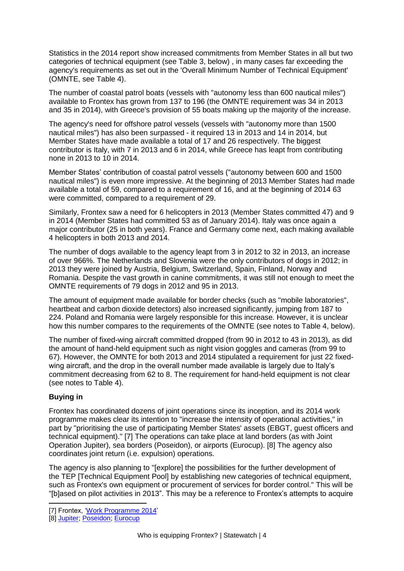Statistics in the 2014 report show increased commitments from Member States in all but two categories of technical equipment (see Table 3, below) , in many cases far exceeding the agency's requirements as set out in the 'Overall Minimum Number of Technical Equipment' (OMNTE, see Table 4).

The number of coastal patrol boats (vessels with "autonomy less than 600 nautical miles") available to Frontex has grown from 137 to 196 (the OMNTE requirement was 34 in 2013 and 35 in 2014), with Greece's provision of 55 boats making up the majority of the increase.

The agency's need for offshore patrol vessels (vessels with "autonomy more than 1500 nautical miles") has also been surpassed - it required 13 in 2013 and 14 in 2014, but Member States have made available a total of 17 and 26 respectively. The biggest contributor is Italy, with 7 in 2013 and 6 in 2014, while Greece has leapt from contributing none in 2013 to 10 in 2014.

Member States' contribution of coastal patrol vessels ("autonomy between 600 and 1500 nautical miles") is even more impressive. At the beginning of 2013 Member States had made available a total of 59, compared to a requirement of 16, and at the beginning of 2014 63 were committed, compared to a requirement of 29.

Similarly, Frontex saw a need for 6 helicopters in 2013 (Member States committed 47) and 9 in 2014 (Member States had committed 53 as of January 2014). Italy was once again a major contributor (25 in both years). France and Germany come next, each making available 4 helicopters in both 2013 and 2014.

The number of dogs available to the agency leapt from 3 in 2012 to 32 in 2013, an increase of over 966%. The Netherlands and Slovenia were the only contributors of dogs in 2012; in 2013 they were joined by Austria, Belgium, Switzerland, Spain, Finland, Norway and Romania. Despite the vast growth in canine commitments, it was still not enough to meet the OMNTE requirements of 79 dogs in 2012 and 95 in 2013.

The amount of equipment made available for border checks (such as "mobile laboratories", heartbeat and carbon dioxide detectors) also increased significantly, jumping from 187 to 224. Poland and Romania were largely responsible for this increase. However, it is unclear how this number compares to the requirements of the OMNTE (see notes to Table 4, below).

The number of fixed-wing aircraft committed dropped (from 90 in 2012 to 43 in 2013), as did the amount of hand-held equipment such as night vision goggles and cameras (from 99 to 67). However, the OMNTE for both 2013 and 2014 stipulated a requirement for just 22 fixedwing aircraft, and the drop in the overall number made available is largely due to Italy's commitment decreasing from 62 to 8. The requirement for hand-held equipment is not clear (see notes to Table 4).

## **Buying in**

-

Frontex has coordinated dozens of joint operations since its inception, and its 2014 work programme makes clear its intention to "increase the intensity of operational activities," in part by "prioritising the use of participating Member States' assets (EBGT, guest officers and technical equipment)." [7] The operations can take place at land borders (as with Joint Operation Jupiter), sea borders (Poseidon), or airports (Eurocup). [8] The agency also coordinates joint return (i.e. expulsion) operations.

The agency is also planning to "[explore] the possibilities for the further development of the TEP [Technical Equipment Pool] by establishing new categories of technical equipment, such as Frontex's own equipment or procurement of services for border control." This will be "[b]ased on pilot activities in 2013". This may be a reference to Frontex's attempts to acquire

<sup>[7]</sup> Frontex, ['Work Programme 2014'](http://www.statewatch.org/news/2014/mar/eu-frontex-wp-2014.pdf)

<sup>[8]</sup> [Jupiter;](http://frontex.europa.eu/operations/archive-of-operations/WBhpoO) [Poseidon;](http://frontex.europa.eu/operations/archive-of-operations/ZCQzCe) [Eurocup](http://frontex.europa.eu/operations/archive-of-operations/4zJUfG)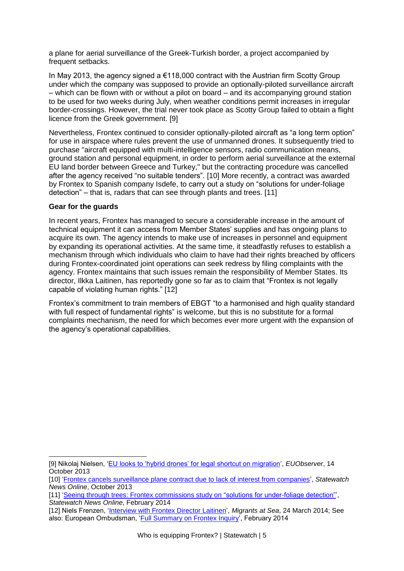a plane for aerial surveillance of the Greek-Turkish border, a project accompanied by frequent setbacks.

In May 2013, the agency signed a  $\epsilon$ 118,000 contract with the Austrian firm Scotty Group under which the company was supposed to provide an optionally-piloted surveillance aircraft – which can be flown with or without a pilot on board – and its accompanying ground station to be used for two weeks during July, when weather conditions permit increases in irregular border-crossings. However, the trial never took place as Scotty Group failed to obtain a flight licence from the Greek government. [9]

Nevertheless, Frontex continued to consider optionally-piloted aircraft as "a long term option" for use in airspace where rules prevent the use of unmanned drones. It subsequently tried to purchase "aircraft equipped with multi-intelligence sensors, radio communication means, ground station and personal equipment, in order to perform aerial surveillance at the external EU land border between Greece and Turkey," but the contracting procedure was cancelled after the agency received "no suitable tenders". [10] More recently, a contract was awarded by Frontex to Spanish company Isdefe, to carry out a study on "solutions for under-foliage detection" – that is, radars that can see through plants and trees. [11]

### **Gear for the guards**

In recent years, Frontex has managed to secure a considerable increase in the amount of technical equipment it can access from Member States' supplies and has ongoing plans to acquire its own. The agency intends to make use of increases in personnel and equipment by expanding its operational activities. At the same time, it steadfastly refuses to establish a mechanism through which individuals who claim to have had their rights breached by officers during Frontex-coordinated joint operations can seek redress by filing complaints with the agency. Frontex maintains that such issues remain the responsibility of Member States. Its director, Ilkka Laitinen, has reportedly gone so far as to claim that "Frontex is not legally capable of violating human rights." [12]

Frontex's commitment to train members of EBGT "to a harmonised and high quality standard with full respect of fundamental rights" is welcome, but this is no substitute for a formal complaints mechanism, the need for which becomes ever more urgent with the expansion of the agency's operational capabilities.

<sup>-</sup>[9] Nikolaj Nielsen, ['EU looks to 'hybrid drones' for legal shortcut on migration',](http://euobserver.com/priv-immigration/121735) *EUObserver*, 14 October 2013

<sup>[10]</sup> ['Frontex cancels surveillance plane contract due to lack of interest from companies'](http://database.statewatch.org/article.asp?aid=32809), *Statewatch News Online*, October 2013

<sup>[11]</sup> ['Seeing through trees: Frontex commissions study on "solutions for under-foliage detection"'](http://database.statewatch.org/article.asp?aid=33257), *Statewatch News Online*, February 2014

<sup>[12]</sup> Niels Frenzen, ['Interview with Frontex Director Laitinen',](http://migrantsatsea.org/2014/03/24/interview-with-frontex-director-laitinen/) *Migrants at Sea*, 24 March 2014; See also: European Ombudsman, ['Full Summary on Frontex Inquiry'](http://www.statewatch.org/news/2014/feb/eu-omb-summary-concerning-frontex.pdf), February 2014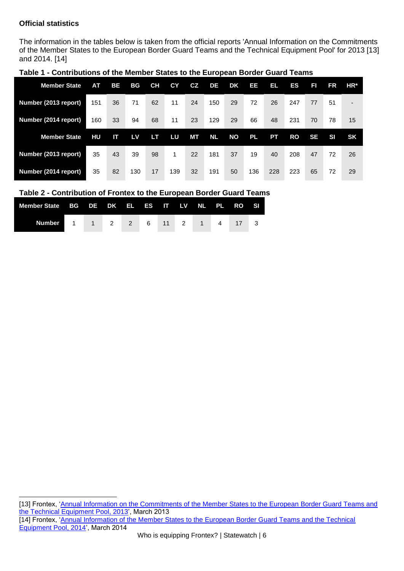## **Official statistics**

The information in the tables below is taken from the official reports 'Annual Information on the Commitments of the Member States to the European Border Guard Teams and the Technical Equipment Pool' for 2013 [13] and 2014. [14]

| <b>Member State</b>  | AT. | <b>BE</b> | BG  | <b>CH</b> | СY  | CZ | DE        | DK | EE        | EL. | ES        | A         | FR        | $HR*$          |
|----------------------|-----|-----------|-----|-----------|-----|----|-----------|----|-----------|-----|-----------|-----------|-----------|----------------|
| Number (2013 report) | 151 | 36        | 71  | 62        | 11  | 24 | 150       | 29 | 72        | 26  | 247       | 77        | 51        | $\blacksquare$ |
| Number (2014 report) | 160 | 33        | 94  | 68        | 11  | 23 | 129       | 29 | 66        | 48  | 231       | 70        | 78        | 15             |
| <b>Member State</b>  | HU  | Ш         | LV  | LТ        | LU  | MТ | <b>NL</b> | ΝO | <b>PL</b> | PT  | <b>RO</b> | <b>SE</b> | <b>SI</b> | <b>SK</b>      |
| Number (2013 report) | 35  | 43        | 39  | 98        | 1   | 22 | 181       | 37 | 19        | 40  | 208       | 47        | 72        | 26             |
| Number (2014 report) | 35  | 82        | 130 | 17        | 139 | 32 | 191       | 50 | 136       | 228 | 223       | 65        | 72        | 29             |

### **Table 1 - Contributions of the Member States to the European Border Guard Teams**

### **Table 2 - Contribution of Frontex to the European Border Guard Teams**

| Member State BG DE DK EL ES IT LV NL PL RO SI |  |  |  |  |  |  |
|-----------------------------------------------|--|--|--|--|--|--|
| Number 1 1 2 2 6 11 2 1 4 17 3                |  |  |  |  |  |  |

 [13] Frontex, 'Annual Information on the Commitments of the Member States to the European Border Guard Teams and [the Technical Equipment Pool, 2013'](http://www.statewatch.org/observatories_files/frontex_observatory/eu-frontex-tep-2013.pdf), March 2013 [14] Frontex, ['Annual Information of the Member States to the European Border Guard Teams and the Technical](http://www.statewatch.org/news/2014/mar/eu-frontex-rep-ep-msd.pdf)  [Equipment Pool, 2014',](http://www.statewatch.org/news/2014/mar/eu-frontex-rep-ep-msd.pdf) March 2014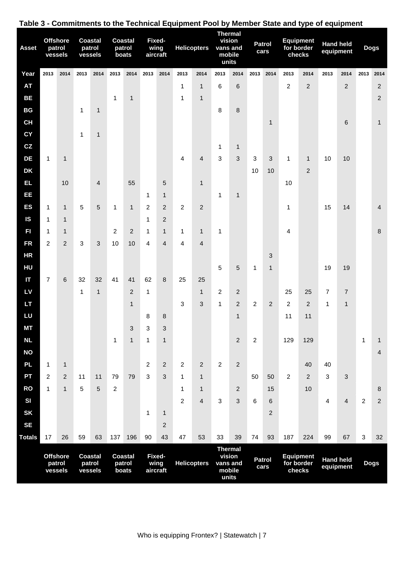| <b>Asset</b>    |                | <b>Offshore</b><br>patrol<br>vessels | <b>Coastal</b> | patrol<br>vessels |                | <b>Coastal</b><br>patrol<br>boats |                           | Fixed-<br>wing<br>aircraft |                | <b>Helicopters</b>      |                | <b>Thermal</b><br>vision<br>vans and<br>mobile<br>units                          |                | <b>Patrol</b><br>cars |                                          | <b>Equipment</b><br>for border<br>checks | equipment                     | <b>Hand held</b> |                | <b>Dogs</b>             |
|-----------------|----------------|--------------------------------------|----------------|-------------------|----------------|-----------------------------------|---------------------------|----------------------------|----------------|-------------------------|----------------|----------------------------------------------------------------------------------|----------------|-----------------------|------------------------------------------|------------------------------------------|-------------------------------|------------------|----------------|-------------------------|
| Year            | 2013           | 2014                                 | 2013           | 2014              | 2013           | 2014                              | 2013                      | 2014                       | 2013           | 2014                    | 2013           | 2014                                                                             | 2013           | 2014                  | 2013                                     | 2014                                     | 2013                          | 2014             | 2013           | 2014                    |
| <b>AT</b>       |                |                                      |                |                   |                |                                   |                           |                            | $\mathbf{1}$   | $\mathbf{1}$            | 6              | 6                                                                                |                |                       | $\overline{c}$                           | $\overline{2}$                           |                               | $\overline{2}$   |                | $\sqrt{2}$              |
| <b>BE</b>       |                |                                      |                |                   | 1              | $\mathbf{1}$                      |                           |                            | $\mathbf{1}$   | $\mathbf{1}$            |                |                                                                                  |                |                       |                                          |                                          |                               |                  |                | $\overline{c}$          |
| BG<br><b>CH</b> |                |                                      | 1              | $\mathbf{1}$      |                |                                   |                           |                            |                |                         | 8              | 8                                                                                |                |                       |                                          |                                          |                               |                  |                |                         |
| <b>CY</b>       |                |                                      | 1              | $\mathbf{1}$      |                |                                   |                           |                            |                |                         |                |                                                                                  |                | $\mathbf{1}$          |                                          |                                          |                               | 6                |                | $\mathbf{1}$            |
| CZ              |                |                                      |                |                   |                |                                   |                           |                            |                |                         | 1              | $\mathbf{1}$                                                                     |                |                       |                                          |                                          |                               |                  |                |                         |
| DE              | 1              | 1                                    |                |                   |                |                                   |                           |                            | 4              | 4                       | 3              | 3                                                                                | 3              | 3                     | 1                                        | $\mathbf{1}$                             | 10                            | 10               |                |                         |
| <b>DK</b>       |                |                                      |                |                   |                |                                   |                           |                            |                |                         |                |                                                                                  | 10             | 10                    |                                          | 2                                        |                               |                  |                |                         |
| EL.             |                | 10                                   |                | $\overline{4}$    |                | 55                                |                           | 5                          |                | $\mathbf{1}$            |                |                                                                                  |                |                       | 10                                       |                                          |                               |                  |                |                         |
| EE              |                |                                      |                |                   |                |                                   | 1                         | $\mathbf{1}$               |                |                         | 1              | $\mathbf{1}$                                                                     |                |                       |                                          |                                          |                               |                  |                |                         |
| <b>ES</b>       | 1              | 1                                    | 5              | $\sqrt{5}$        | 1              | $\mathbf{1}$                      | $\overline{c}$            | $\overline{2}$             | 2              | $\overline{2}$          |                |                                                                                  |                |                       | 1                                        |                                          | 15                            | 14               |                | 4                       |
| <b>IS</b>       | $\mathbf{1}$   | $\mathbf{1}$                         |                |                   |                |                                   | 1                         | $\overline{2}$             |                |                         |                |                                                                                  |                |                       |                                          |                                          |                               |                  |                |                         |
| FI              | $\mathbf{1}$   | $\mathbf{1}$                         |                |                   | $\overline{c}$ | $\overline{2}$                    | $\mathbf{1}$              | $\mathbf{1}$               | $\mathbf{1}$   | $\mathbf{1}$            | 1              |                                                                                  |                |                       | 4                                        |                                          |                               |                  |                | $\bf 8$                 |
| <b>FR</b>       | $\overline{2}$ | $\overline{2}$                       | 3              | $\sqrt{3}$        | 10             | 10                                | 4                         | $\overline{4}$             | 4              | 4                       |                |                                                                                  |                |                       |                                          |                                          |                               |                  |                |                         |
| <b>HR</b>       |                |                                      |                |                   |                |                                   |                           |                            |                |                         |                |                                                                                  |                | $\mathfrak{B}$        |                                          |                                          |                               |                  |                |                         |
| HU              |                |                                      |                |                   |                |                                   |                           |                            |                |                         | 5              | 5                                                                                | 1              | $\mathbf{1}$          |                                          |                                          | 19                            | 19               |                |                         |
|                 | 7              | 6                                    | 32             | 32                | 41             | 41                                | 62                        | 8                          | 25             | 25                      |                |                                                                                  |                |                       |                                          |                                          |                               |                  |                |                         |
| LV<br><b>LT</b> |                |                                      | 1              | $\mathbf{1}$      |                | 2                                 | $\mathbf 1$               |                            |                | $\mathbf{1}$            | 2              | $\overline{2}$                                                                   |                | $\overline{2}$        | 25                                       | 25                                       | 7                             | $\overline{7}$   |                |                         |
| LU              |                |                                      |                |                   |                | $\mathbf{1}$                      | 8                         | $\, 8$                     | 3              | 3                       | 1              | $\overline{2}$<br>$\mathbf{1}$                                                   | $\overline{c}$ |                       | $\overline{c}$<br>11                     | $\overline{c}$<br>11                     | 1                             | $\mathbf{1}$     |                |                         |
| <b>MT</b>       |                |                                      |                |                   |                | 3                                 | $\ensuremath{\mathsf{3}}$ | $\sqrt{3}$                 |                |                         |                |                                                                                  |                |                       |                                          |                                          |                               |                  |                |                         |
| <b>NL</b>       |                |                                      |                |                   | $\mathbf 1$    | $\mathbf{1}$                      | 1                         | $\mathbf{1}$               |                |                         |                | $\overline{2}$                                                                   | $\overline{c}$ |                       | 129                                      | 129                                      |                               |                  | 1              | 1                       |
| <b>NO</b>       |                |                                      |                |                   |                |                                   |                           |                            |                |                         |                |                                                                                  |                |                       |                                          |                                          |                               |                  |                | $\overline{\mathbf{4}}$ |
| <b>PL</b>       | $\mathbf{1}$   | $\mathbf{1}$                         |                |                   |                |                                   | $\overline{c}$            | $\overline{2}$             | $\overline{2}$ | 2                       | $\overline{2}$ | $\overline{2}$                                                                   |                |                       |                                          | 40                                       | 40                            |                  |                |                         |
| PT              | 2              | $\overline{2}$                       | 11             | 11                | 79             | 79                                | 3                         | $\mathfrak{S}$             | $\mathbf{1}$   | $\mathbf{1}$            |                |                                                                                  | 50             | 50                    | 2                                        | $\overline{2}$                           | 3                             | $\mathfrak{B}$   |                |                         |
| <b>RO</b>       | $\mathbf{1}$   | $\mathbf{1}$                         | 5              | $\overline{5}$    | $\overline{2}$ |                                   |                           |                            | $\mathbf{1}$   | $\mathbf{1}$            |                | $\overline{2}$                                                                   |                | 15                    |                                          | 10                                       |                               |                  |                | 8                       |
| SI              |                |                                      |                |                   |                |                                   |                           |                            | $\overline{c}$ | $\overline{\mathbf{4}}$ | $\mathbf{3}$   | 3                                                                                | 6              | $\,6$                 |                                          |                                          | 4                             | $\overline{4}$   | $\overline{c}$ | $\sqrt{2}$              |
| <b>SK</b>       |                |                                      |                |                   |                |                                   | $\mathbf{1}$              | $\mathbf{1}$               |                |                         |                |                                                                                  |                | $\overline{2}$        |                                          |                                          |                               |                  |                |                         |
| <b>SE</b>       |                |                                      |                |                   |                |                                   |                           | $\boldsymbol{2}$           |                |                         |                |                                                                                  |                |                       |                                          |                                          |                               |                  |                |                         |
| <b>Totals</b>   | 17             | 26                                   | 59             | 63                | 137            | 196                               | 90                        | 43                         | 47             | 53                      | 33             | 39                                                                               | 74             | 93                    | 187                                      | 224                                      | 99                            | 67               | $\sqrt{3}$     | 32                      |
|                 | vessels        | <b>Offshore</b><br>patrol            | <b>Coastal</b> | patrol<br>vessels |                | <b>Coastal</b><br>patrol<br>boats |                           | Fixed-<br>wing<br>aircraft |                | <b>Helicopters</b>      |                | <b>Thermal</b><br>vision<br><b>Patrol</b><br>vans and<br>cars<br>mobile<br>units |                |                       | <b>Equipment</b><br>for border<br>checks |                                          | <b>Hand held</b><br>equipment |                  | <b>Dogs</b>    |                         |

# **Table 3 - Commitments to the Technical Equipment Pool by Member State and type of equipment**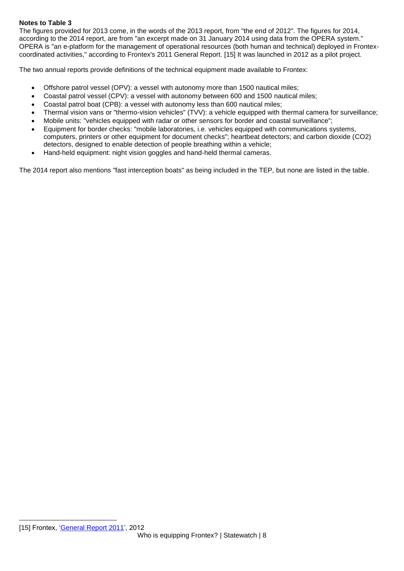### **Notes to Table 3**

The figures provided for 2013 come, in the words of the 2013 report, from "the end of 2012". The figures for 2014, according to the 2014 report, are from "an excerpt made on 31 January 2014 using data from the OPERA system." OPERA is "an e-platform for the management of operational resources (both human and technical) deployed in Frontexcoordinated activities," according to Frontex's 2011 General Report. [15] It was launched in 2012 as a pilot project.

The two annual reports provide definitions of the technical equipment made available to Frontex:

- Offshore patrol vessel (OPV): a vessel with autonomy more than 1500 nautical miles;
- Coastal patrol vessel (CPV): a vessel with autonomy between 600 and 1500 nautical miles;
- Coastal patrol boat (CPB): a vessel with autonomy less than 600 nautical miles;
- Thermal vision vans or "thermo-vision vehicles" (TVV): a vehicle equipped with thermal camera for surveillance;
- Mobile units: "vehicles equipped with radar or other sensors for border and coastal surveillance";
- Equipment for border checks: "mobile laboratories, i.e. vehicles equipped with communications systems, computers, printers or other equipment for document checks"; heartbeat detectors; and carbon dioxide (CO2) detectors, designed to enable detection of people breathing within a vehicle;
- Hand-held equipment: night vision goggles and hand-held thermal cameras.

The 2014 report also mentions "fast interception boats" as being included in the TEP, but none are listed in the table.